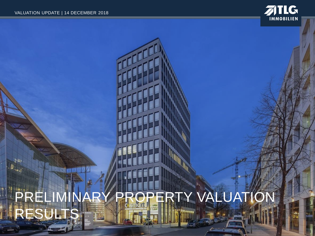ê su  $\left\| \mathbf{0} \right\|_{\mathbf{S} = \left\| \mathbf{0} \right\|_{\mathbf{S}}}$ 



# PRELIMINARY PROPERTY VALUATION **ES**

**RELEVE**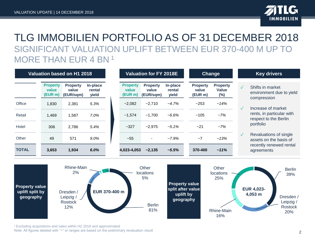

#### TLG IMMOBILIEN PORTFOLIO AS OF 31 DECEMBER 2018 SIGNIFICANT VALUATION UPLIFT BETWEEN EUR 370-400 M UP TO MORE THAN EUR 4 BN <sup>1</sup>

|               | Valuation based on H1 2018          |                                       |                             | <b>Valuation for FY 2018E</b>       |                                       |                             | <b>Change</b>                       |                                           |              | <b>Key drivers</b>                                          |
|---------------|-------------------------------------|---------------------------------------|-----------------------------|-------------------------------------|---------------------------------------|-----------------------------|-------------------------------------|-------------------------------------------|--------------|-------------------------------------------------------------|
|               | <b>Property</b><br>value<br>(EUR m) | <b>Property</b><br>value<br>(EUR/sqm) | In-place<br>rental<br>yield | <b>Property</b><br>value<br>(EUR m) | <b>Property</b><br>value<br>(EUR/sqm) | In-place<br>rental<br>yield | <b>Property</b><br>value<br>(EUR m) | <b>Property</b><br><b>Value</b><br>$(\%)$ | $\sqrt{}$    | Shifts in market<br>environment due to yield<br>compression |
| Office        | 1.830                               | 2,381                                 | 5.3%                        | $-2,082$                            | $-2.710$                              | $-4.7%$                     | ~253                                | $~14\%$                                   | $\checkmark$ | Increase of market                                          |
| <b>Retail</b> | 1.469                               | 1,587                                 | $7.0\%$                     | ~1,574                              | ~1.700                                | $-6.6\%$                    | ~105                                | $-7%$                                     |              | rents, in particular with<br>respect to the Berlin          |
| Hotel         | 306                                 | 2.786                                 | 5.4%                        | $-327$                              | $-2.975$                              | $-5.1\%$                    | $-21$                               | $-7%$                                     |              | portfolio                                                   |
| Other         | 49                                  | 571                                   | 9.0%                        | ~155                                | $\sim$                                | $-7.9%$                     | ~1                                  | $~13\%$                                   | $\sqrt{}$    | Revaluations of single<br>assets on the basis of            |
| <b>TOTAL</b>  | 3,653                               | 1,934                                 | 6.0%                        | 4,023-4,053                         | ~2,135                                | $-5.5%$                     | 370-400                             | $~11\%$                                   |              | recently renewed rental<br>agreements                       |





<sup>1</sup>Excluding acquisitions and sales within H2 2018 and approximated Note: All figures labeled with "~" or ranges are based on the preliminary revaluation result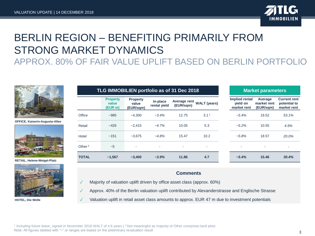

**Current rent potential to market rent** *~5.4%* 19.52 *53.1%*

*~5.2%* 10.55 *4.9%*

*~5.8%* 18.57 *20.0%*

*~5.4%* **15.46** *30.4%*

### BERLIN REGION – BENEFITING PRIMARILY FROM STRONG MARKET DYNAMICS

#### APPROX. 80% OF FAIR VALUE UPLIFT BASED ON BERLIN PORTFOLIO



**OFFICE, Kaiserin-Augusta-Allee**



**RETAIL, Helene-Weigel-Platz**



**HOTEL, Die Welle**

|              | TLG IMMOBILIEN portfolio as of 31 Dec 2018 |                                       |                          | <b>Market parameters</b>  |                     |                                           |                                     |                                 |
|--------------|--------------------------------------------|---------------------------------------|--------------------------|---------------------------|---------------------|-------------------------------------------|-------------------------------------|---------------------------------|
|              | <b>Property</b><br>value<br>(EUR m)        | <b>Property</b><br>value<br>(EUR/sqm) | In-place<br>rental yield | Average rent<br>(EUR/sqm) | <b>WALT</b> (years) | Implied rental<br>vield on<br>market rent | Average<br>market rent<br>(EUR/sqm) | <b>Currer</b><br>poten<br>marke |
| Office       | $-985$                                     | $-4.300$                              | $-3.4%$                  | 12.75                     | 3.1 <sup>1</sup>    | $-5.4%$                                   | 19.52                               | 53.                             |
| Retail       | $-426$                                     | $-2.415$                              | $-4.7%$                  | 10.05                     | 5.3                 | $-5.2\%$                                  | 10.55                               | 4.9                             |
| Hotel        | ~151                                       | $-3.675$                              | $-4.8%$                  | 15.47                     | 10.2                | $-5.8%$                                   | 18.57                               | 20.                             |
| Other $2$    | $-5$                                       |                                       |                          | ٠                         | ٠                   |                                           | ٠                                   |                                 |
| <b>TOTAL</b> | ~1,567                                     | $-3.400$                              | $-3.9%$                  | 11.86                     | 4.7                 | $~1.4\%$                                  | 15.46                               | 30.4                            |

#### **Comments**

- Majority of valuation uplift driven by office asset class (approx. 60%)
- Approx. 40% of the Berlin valuation uplift contributed by Alexanderstrasse and Englische Strasse
- Valuation uplift in retail asset class amounts to approx. EUR 47 m due to investment potentials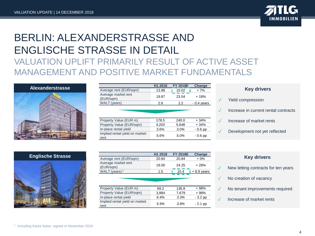

#### BERLIN: ALEXANDERSTRASSE AND ENGLISCHE STRASSE IN DETAIL VALUATION UPLIFT PRIMARILY RESULT OF ACTIVE ASSET MANAGEMENT AND POSITIVE MARKET FUNDAMENTALS



|                                  | H1 2018 | <b>FY 2018E</b> | Change       |
|----------------------------------|---------|-----------------|--------------|
| Average rent (EUR/sqm)           | 13.98   | 15.02           | $+7%$        |
| Average market rent<br>(EUR/sqm) | 19.87   | 23.54           | $+18%$       |
| WALT (years)                     | 2.6     | 2.2             | $-0.4$ vears |
|                                  |         |                 |              |

| Property Value (EUR m)                 | 178.5 | 240.0   | $+34%$    |
|----------------------------------------|-------|---------|-----------|
| Property Value (EUR/sqm)               | 4.203 | 5.648   | $+34%$    |
| In-place rental yield                  | 3.6%  | $3.0\%$ | $-0.6$ pp |
| Implied rental yield on market<br>rent | 5.6%  | 5.0%    | $-0.6$ pp |

#### **Key drivers**

- Yield compression
- Increase in current rental contracts
- ✓ Increase of market rents
- Development not yet reflected



|                                        | H1 2018 | <b>FY 2018E</b> | <b>Change</b> |
|----------------------------------------|---------|-----------------|---------------|
| Average rent (EUR/sqm)                 | 20.84   | 20.84           | $+0\%$        |
| Average market rent<br>(EUR/sqm)       | 19.00   | 24.25           | $+28%$        |
| WALT (years) <sup>1</sup>              | 1.5     | 10.4            | $+8.9$ years  |
|                                        |         |                 |               |
| Property Value (EUR m)                 | 69.2    | 136.8           | $+98%$        |
| Property Value (EUR/sqm)               | 3,884   | 7,679           | + 98%         |
| In-place rental yield                  | 6.4%    | 3.3%            | $-3.2$ pp     |
| Implied rental yield on market<br>rent | 5.9%    | 3.8%            | - 2.1 pp      |

| <b>Key drivers</b> |  |
|--------------------|--|
|                    |  |

- New letting contracts for ten years
- No creation of vacancy
- ✓ No tenant improvements required
- ✓ Increase of market rents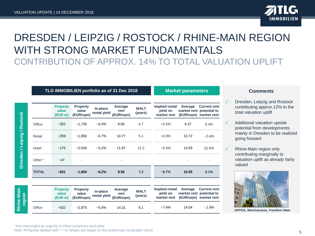

### DRESDEN / LEIPZIG / ROSTOCK / RHINE-MAIN REGION WITH STRONG MARKET FUNDAMENTALS CONTRIBUTION OF APPROX. 14% TO TOTAL VALUATION UPLIFT

|                             |                    | TLG IMMOBILIEN portfolio as of 31 Dec 2018 |                                       |                          | <b>Market parameters</b>     |                        |                                                  |                      |                                                                          |
|-----------------------------|--------------------|--------------------------------------------|---------------------------------------|--------------------------|------------------------------|------------------------|--------------------------------------------------|----------------------|--------------------------------------------------------------------------|
|                             |                    | <b>Property</b><br>value<br>(EUR m)        | <b>Property</b><br>value<br>(EUR/sqm) | In-place<br>rental yield | Average<br>rent<br>(EUR/sqm) | <b>WALT</b><br>(years) | <b>Implied rental</b><br>vield on<br>market rent | Average              | <b>Current rent</b><br>market rent potential to<br>(EUR/sqm) market rent |
| Dresden / Leipzig / Rostock | Office             | $-352$                                     | $-1,735$                              | $-6.0%$                  | 8.80                         | 6.7                    | $-6.5%$                                          | 9.37                 | 6.4%                                                                     |
|                             | Retail             | $-259$                                     | $-1,850$                              | $-6.7%$                  | 10.77                        | 5.1                    | $-6.9%$                                          | 10.72                | $-0.4%$                                                                  |
|                             | Hotel              | ~175                                       | $-2.540$                              | $-5.2%$                  | 11.87                        | 12.2                   | $-6.9%$                                          | 14.59                | 22.9%                                                                    |
|                             | Other <sup>1</sup> | $-47$                                      |                                       |                          |                              |                        |                                                  |                      |                                                                          |
|                             | <b>TOTAL</b>       | $~-831$                                    | $-1,800$                              | $-6.2%$                  | 9.56                         | 7.2                    | $-6.7%$                                          | 10.05                | 5.1%                                                                     |
| Rhine-Main<br>region        |                    | <b>Property</b><br>value<br>(EUR m)        | <b>Property</b><br>value<br>(EUR/sqm) | In-place<br>rental yield | Average<br>rent<br>(EUR/sqm) | <b>WALT</b><br>(years) | Implied rental<br>vield on<br>market rent        | Average<br>(EUR/sqm) | <b>Current rent</b><br>market rent potential to<br>market rent           |
|                             | Office             | $-632$                                     | $-2,875$                              | $-5.5%$                  | 14.31                        | 6.1                    | $-7.4%$                                          | 14.04                | $-1.9%$                                                                  |

#### **Market parameters Comments**

- Dresden, Leipzig and Rostock contributing approx.12% to the total valuation uplift
- Additional valuation upside potential from developments mainly in Dresden to be realized going forward
- Rhine-Main region only contributing marginally to valuation uplift as already fairly valued



**OFFICE, Bleichstrasse, Frankfurt Main**

<sup>1</sup> Not meaningful as majority of Other comprises land plots Note: All figures labeled with "~" or ranges are based on the preliminary revaluation result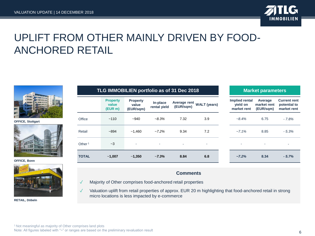

### UPLIFT FROM OTHER MAINLY DRIVEN BY FOOD-ANCHORED RETAIL



**OFFICE, Stuttgart**



**OFFICE, Bonn**



**RETAIL, Döbeln**

|                    |                                     | TLG IMMOBILIEN portfolio as of 31 Dec 2018 |                          | <b>Market parameters</b> |                           |                                           |                                     |                                                    |
|--------------------|-------------------------------------|--------------------------------------------|--------------------------|--------------------------|---------------------------|-------------------------------------------|-------------------------------------|----------------------------------------------------|
|                    | <b>Property</b><br>value<br>(EUR m) | <b>Property</b><br>value<br>(EUR/sqm)      | In-place<br>rental yield | (EUR/sqm)                | Average rent WALT (years) | Implied rental<br>vield on<br>market rent | Average<br>market rent<br>(EUR/sqm) | <b>Current rent</b><br>potential to<br>market rent |
| Office             | ~110                                | $-940$                                     | $-8.3%$                  | 7.32                     | 3.9                       | $-8.4\%$                                  | 6.75                                | $-7.8%$                                            |
| Retail             | $-894$                              | ~1.460                                     | $-7.2\%$                 | 9.34                     | 7.2                       | $-7.1\%$                                  | 8.85                                | $-5.3%$                                            |
| Other <sup>1</sup> | $-3$                                |                                            |                          | ۰                        | ۰                         |                                           |                                     | ٠                                                  |
| <b>TOTAL</b>       | $-1,007$                            | $-1,350$                                   | $~1 - 7.3%$              | 8.84                     | 6.8                       | $~27.2\%$                                 | 8.34                                | $-5.7%$                                            |

#### **Comments**

- ✓ Majority of Other comprises food-anchored retail properties
- ✓ Valuation uplift from retail properties of approx. EUR 20 m highlighting that food-anchored retail in strong micro locations is less impacted by e-commerce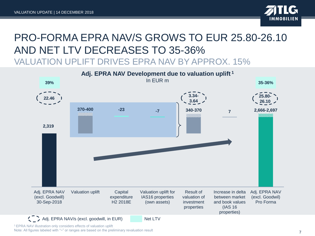

### PRO-FORMA EPRA NAV/S GROWS TO EUR 25.80-26.10 AND NET LTV DECREASES TO 35-36% VALUATION UPLIFT DRIVES EPRA NAV BY APPROX. 15%



<sup>1</sup>EPRA NAV illustration only considers effects of valuation uplift

Note: All figures labeled with "~" or ranges are based on the preliminary revaluation result